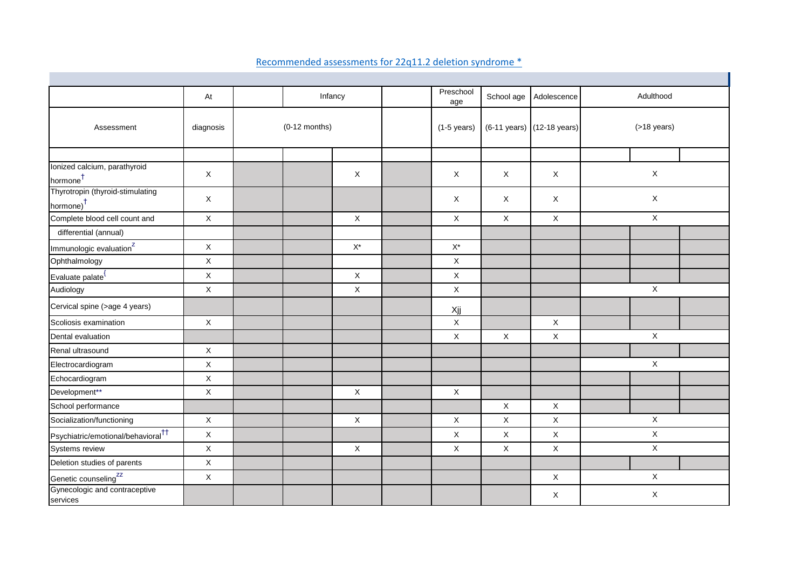|                                                           | At          | Infancy         |  | Preschool<br>age          | School age         | Adolescence                | Adulthood      |              |
|-----------------------------------------------------------|-------------|-----------------|--|---------------------------|--------------------|----------------------------|----------------|--------------|
| Assessment                                                | diagnosis   | $(0-12$ months) |  | $(1-5$ years)             |                    | (6-11 years) (12-18 years) | $($ >18 years) |              |
|                                                           |             |                 |  |                           |                    |                            |                |              |
| Ionized calcium, parathyroid<br>hormone <sup>†</sup>      | $\mathsf X$ |                 |  | X                         | $\mathsf X$        | X                          | X              | $\mathsf X$  |
| Thyrotropin (thyroid-stimulating<br>hormone) <sup>†</sup> | X           |                 |  |                           | $\mathsf X$        | X                          | $\mathsf X$    | $\mathsf X$  |
| Complete blood cell count and                             | $\mathsf X$ |                 |  | $\mathsf X$               | $\mathsf X$        | $\mathsf X$                | $\mathsf X$    | $\mathsf X$  |
| differential (annual)                                     |             |                 |  |                           |                    |                            |                |              |
| Immunologic evaluation <sup>z</sup>                       | $\mathsf X$ |                 |  | $\mathsf{X}^\star$        | $\mathsf{X}^\star$ |                            |                |              |
| Ophthalmology                                             | $\mathsf X$ |                 |  |                           | $\mathsf X$        |                            |                |              |
| Evaluate palate <sup>1</sup>                              | $\mathsf X$ |                 |  | $\mathsf X$               | $\mathsf X$        |                            |                |              |
| Audiology                                                 | $\mathsf X$ |                 |  | $\boldsymbol{\mathsf{X}}$ | $\mathsf X$        |                            |                | $\mathsf X$  |
| Cervical spine (>age 4 years)                             |             |                 |  |                           | Xjj                |                            |                |              |
| Scoliosis examination                                     | $\mathsf X$ |                 |  |                           | $\mathsf X$        |                            | $\mathsf X$    |              |
| Dental evaluation                                         |             |                 |  |                           | $\mathsf X$        | X                          | X              | $\mathsf X$  |
| Renal ultrasound                                          | $\mathsf X$ |                 |  |                           |                    |                            |                |              |
| Electrocardiogram                                         | $\mathsf X$ |                 |  |                           |                    |                            |                | $\mathsf X$  |
| Echocardiogram                                            | $\mathsf X$ |                 |  |                           |                    |                            |                |              |
| Development**                                             | $\mathsf X$ |                 |  | $\mathsf X$               | $\mathsf X$        |                            |                |              |
| School performance                                        |             |                 |  |                           |                    | X                          | $\mathsf X$    |              |
| Socialization/functioning                                 | X           |                 |  | X                         | $\mathsf{X}$       | X                          | $\mathsf{X}$   | $\mathsf{X}$ |
| Psychiatric/emotional/behavioral <sup>††</sup>            | $\mathsf X$ |                 |  |                           | X                  | X                          | X              | X            |
| Systems review                                            | $\mathsf X$ |                 |  | X                         | X                  | X                          | X              | $\mathsf{X}$ |
| Deletion studies of parents                               | $\mathsf X$ |                 |  |                           |                    |                            |                |              |
| Genetic counseling <sup>zz</sup>                          | $\mathsf X$ |                 |  |                           |                    |                            | $\mathsf X$    | X            |
| Gynecologic and contraceptive<br>services                 |             |                 |  |                           |                    |                            | X              | $\mathsf X$  |

## Recommended assessments for 22q11.2 deletion syndrome \*